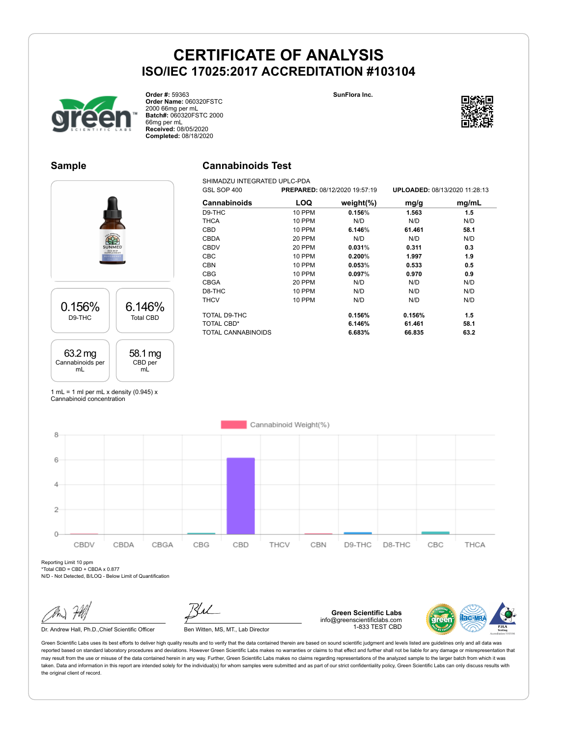**SunFlora Inc.**



**Order #:** 59363 **Order Name:** 060320FSTC 2000 66mg per mL **Batch#:** 060320FSTC 2000 66mg per mL **Received:** 08/05/2020 **Completed:** 08/18/2020

## **Sample**

### **Cannabinoids Test**

SHIMADZU INTEGRATED UPLC-PDA<br>GSL SOP 400 PREPARE GSL SOP 400 **PREPARED:** 08/12/2020 19:57:19 **UPLOADED:** 08/13/2020 11:28:13 **Cannabinoids LOQ weight(%) mg/g mg/mL** D9-THC 10 PPM **0.156**% **1.563 1.5** THCA 10 PPM N/D N/D N/D CBD 10 PPM **6.146**% **61.461 58.1** CBDA 20 PPM N/D N/D N/D CBDV 20 PPM **0.031**% **0.311 0.3** CBC 10 PPM **0.200**% **1.997 1.9** CBN 10 PPM **0.053**% **0.533 0.5** CBG 10 PPM **0.097**% **0.970 0.9** CBGA 20 PPM N/D N/D N/D D8-THC 10 PPM N/D N/D N/D THCV 10 PPM N/D N/D N/D TOTAL D9-THC **0.156% 0.156% 1.5** TOTAL CBD\* **6.146% 61.461 58.1** TOTAL CANNABINOIDS **6.683% 66.835 63.2**

1 mL = 1 ml per mL x density  $(0.945)$  x Cannabinoid concentration

6.146% Total CBD

> 58.1 mg CBD per mL

0.156% D9-THC

63.2 mg Cannabinoids per mL

Cannabinoid Weight(%) 8 6  $\overline{4}$  $\overline{2}$  $\Omega$ CBDV CBDA CBGA CBG CBD THCV CBN D9-THC D8-THC CBC THCA

Reporting Limit 10 ppm \*Total CBD = CBD + CBDA x 0.877

N/D - Not Detected, B/LOQ - Below Limit of Quantification

Dr. Andrew Hall, Ph.D., Chief Scientific Officer Ben Witten, MS, MT., Lab Director

**Green Scientific Labs** info@greenscientificlabs.com 1-833 TEST CBD



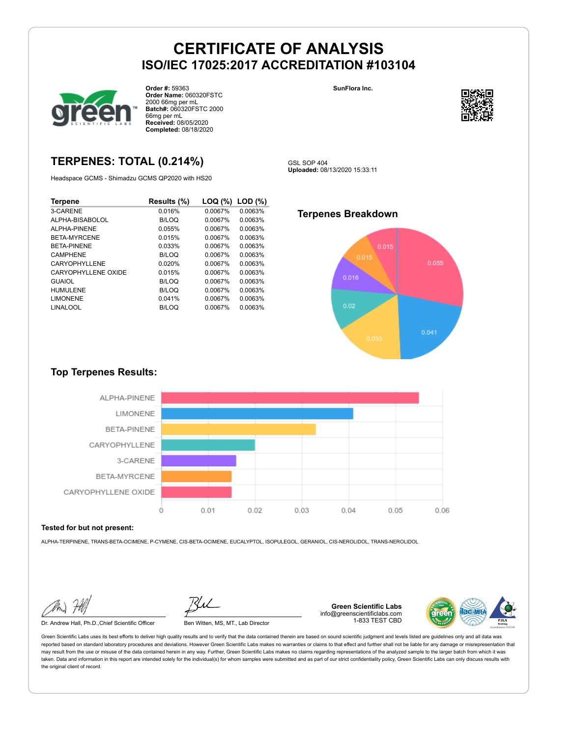

**Order #:** 59363 **Order Name:** 060320FSTC 2000 66mg per mL **Batch#:** 060320FSTC 2000 66mg per mL **Received:** 08/05/2020 **Completed:** 08/18/2020

## **TERPENES: TOTAL (0.214%)**

Headspace GCMS - Shimadzu GCMS QP2020 with HS20

| Terpene              | Results (%)  | LOQ (%) | LOD(%)  |
|----------------------|--------------|---------|---------|
| 3-CARENE             | 0.016%       | 0.0067% | 0.0063% |
| ALPHA-BISABOLOL      | B/LOQ        | 0.0067% | 0.0063% |
| AI PHA-PINENE        | 0.055%       | 0.0067% | 0.0063% |
| BETA-MYRCENE         | 0.015%       | 0.0067% | 0.0063% |
| <b>BETA-PINENE</b>   | 0.033%       | 0.0067% | 0.0063% |
| <b>CAMPHENE</b>      | B/LOQ        | 0.0067% | 0.0063% |
| CARYOPHYLL FNF       | 0.020%       | 0.0067% | 0.0063% |
| CARYOPHYLL FNF OXIDE | 0.015%       | 0.0067% | 0.0063% |
| <b>GUAIOL</b>        | B/LOQ        | 0.0067% | 0.0063% |
| <b>HUMULENE</b>      | B/LOQ        | 0.0067% | 0.0063% |
| <b>LIMONENE</b>      | 0.041%       | 0.0067% | 0.0063% |
| LINALOOL             | <b>B/LOQ</b> | 0.0067% | 0.0063% |





GSL SOP 404 **Uploaded:** 08/13/2020 15:33:11

### **Terpenes Breakdown**



### **Top Terpenes Results:**



#### **Tested for but not present:**

ALPHA-TERPINENE, TRANS-BETA-OCIMENE, P-CYMENE, CIS-BETA-OCIMENE, EUCALYPTOL, ISOPULEGOL, GERANIOL, CIS-NEROLIDOL, TRANS-NEROLIDOL

Dr. Andrew Hall, Ph.D.,Chief Scientific Officer Ben Witten, MS, MT., Lab Director

**Green Scientific Labs** info@greenscientificlabs.com 1-833 TEST CBD

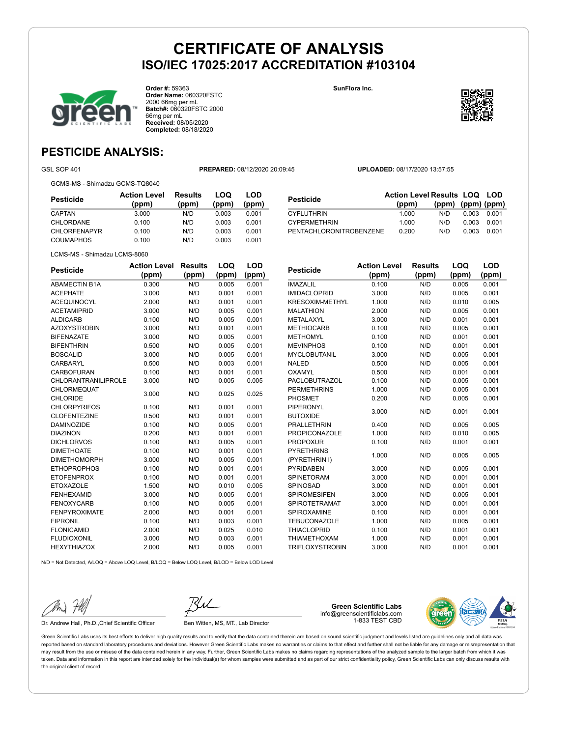**SunFlora Inc.**



**Order #:** 59363 **Order Name:** 060320FSTC 2000 66mg per mL **Batch#:** 060320FSTC 2000 66mg per mL **Received:** 08/05/2020 **Completed:** 08/18/2020



**LOQ**

**LOD**

## **PESTICIDE ANALYSIS:**

GSL SOP 401 **PREPARED:** 08/12/2020 20:09:45 **UPLOADED:** 08/17/2020 13:57:55

GCMS-MS - Shimadzu GCMS-TQ8040

| Pesticide           | <b>Action Level</b><br>(ppm) | <b>Results</b><br>(ppm) | LOQ<br>(ppm) | LOD<br>(ppm) |
|---------------------|------------------------------|-------------------------|--------------|--------------|
| CAPTAN              | 3.000                        | N/D                     | 0.003        | 0.001        |
| CHLORDANE           | 0.100                        | N/D                     | 0.003        | 0.001        |
| <b>CHLORFENAPYR</b> | 0.100                        | N/D                     | 0.003        | 0.001        |
| <b>COUMAPHOS</b>    | 0.100                        | N/D                     | 0.003        | 0.001        |

| <b>Pesticide</b>        | <b>Action Level Results LOQ LOD</b> |                   |       |       |
|-------------------------|-------------------------------------|-------------------|-------|-------|
|                         | (ppm)                               | (ppm) (ppm) (ppm) |       |       |
| <b>CYFLUTHRIN</b>       | 1.000                               | N/D               | 0.003 | 0.001 |
| <b>CYPERMETHRIN</b>     | 1.000                               | N/D               | 0.003 | 0.001 |
| PENTACHLORONITROBENZENE | 0.200                               | N/D               | 0.003 | 0.001 |

LCMS-MS - Shimadzu LCMS-8060

| <b>Pesticide</b>           | <b>Action Level</b> | <b>Results</b> | LOQ   | <b>LOD</b> |
|----------------------------|---------------------|----------------|-------|------------|
|                            | (ppm)               | (ppm)          | (ppm) | (ppm)      |
| <b>ABAMECTIN B1A</b>       | 0.300               | N/D            | 0.005 | 0.001      |
| <b>ACEPHATE</b>            | 3.000               | N/D            | 0.001 | 0.001      |
| <b>ACEQUINOCYL</b>         | 2.000               | N/D            | 0.001 | 0.001      |
| <b>ACETAMIPRID</b>         | 3.000               | N/D            | 0.005 | 0.001      |
| <b>ALDICARB</b>            | 0.100               | N/D            | 0.005 | 0.001      |
| <b>AZOXYSTROBIN</b>        | 3.000               | N/D            | 0.001 | 0.001      |
| <b>BIFENAZATE</b>          | 3.000               | N/D            | 0.005 | 0.001      |
| <b>BIFENTHRIN</b>          | 0.500               | N/D            | 0.005 | 0.001      |
| <b>BOSCALID</b>            | 3.000               | N/D            | 0.005 | 0.001      |
| CARBARYL                   | 0.500               | N/D            | 0.003 | 0.001      |
| CARBOFURAN                 | 0.100               | N/D            | 0.001 | 0.001      |
| <b>CHLORANTRANILIPROLE</b> | 3.000               | N/D            | 0.005 | 0.005      |
| CHLORMEQUAT                | 3.000               | N/D            | 0.025 | 0.025      |
| <b>CHLORIDE</b>            |                     |                |       |            |
| <b>CHLORPYRIFOS</b>        | 0.100               | N/D            | 0.001 | 0.001      |
| <b>CLOFENTEZINE</b>        | 0.500               | N/D            | 0.001 | 0.001      |
| <b>DAMINOZIDE</b>          | 0.100               | N/D            | 0.005 | 0.001      |
| <b>DIAZINON</b>            | 0.200               | N/D            | 0.001 | 0.001      |
| <b>DICHLORVOS</b>          | 0.100               | N/D            | 0.005 | 0.001      |
| <b>DIMETHOATE</b>          | 0.100               | N/D            | 0.001 | 0.001      |
| <b>DIMETHOMORPH</b>        | 3.000               | N/D            | 0.005 | 0.001      |
| <b>ETHOPROPHOS</b>         | 0.100               | N/D            | 0.001 | 0.001      |
| <b>ETOFENPROX</b>          | 0.100               | N/D            | 0.001 | 0.001      |
| <b>ETOXAZOLE</b>           | 1.500               | N/D            | 0.010 | 0.005      |
| <b>FENHEXAMID</b>          | 3.000               | N/D            | 0.005 | 0.001      |
| <b>FENOXYCARB</b>          | 0.100               | N/D            | 0.005 | 0.001      |
| <b>FENPYROXIMATE</b>       | 2.000               | N/D            | 0.001 | 0.001      |
| <b>FIPRONIL</b>            | 0.100               | N/D            | 0.003 | 0.001      |
| <b>FLONICAMID</b>          | 2.000               | N/D            | 0.025 | 0.010      |
| <b>FLUDIOXONIL</b>         | 3.000               | N/D            | 0.003 | 0.001      |
| <b>HEXYTHIAZOX</b>         | 2.000               | N/D            | 0.005 | 0.001      |
|                            |                     |                |       |            |

| <b>Pesticide</b>       | <b>Action Level</b> | <b>Results</b> | LOQ   | LOD   |
|------------------------|---------------------|----------------|-------|-------|
|                        | (ppm)               | (ppm)          | (ppm) | (ppm) |
| <b>IMAZALIL</b>        | 0.100               | N/D            | 0.005 | 0.001 |
| <b>IMIDACLOPRID</b>    | 3.000               | N/D            | 0.005 | 0.001 |
| <b>KRESOXIM-METHYL</b> | 1.000               | N/D            | 0.010 | 0.005 |
| <b>MALATHION</b>       | 2.000               | N/D            | 0.005 | 0.001 |
| <b>METALAXYL</b>       | 3.000               | N/D            | 0.001 | 0.001 |
| <b>METHIOCARB</b>      | 0.100               | N/D            | 0.005 | 0.001 |
| <b>METHOMYL</b>        | 0.100               | N/D            | 0.001 | 0.001 |
| <b>MEVINPHOS</b>       | 0.100               | N/D            | 0.001 | 0.001 |
| <b>MYCLOBUTANIL</b>    | 3.000               | N/D            | 0.005 | 0.001 |
| <b>NALED</b>           | 0.500               | N/D            | 0.005 | 0.001 |
| OXAMYL                 | 0.500               | N/D            | 0.001 | 0.001 |
| PACLOBUTRAZOL          | 0.100               | N/D            | 0.005 | 0.001 |
| <b>PERMETHRINS</b>     | 1.000               | N/D            | 0.005 | 0.001 |
| <b>PHOSMET</b>         | 0.200               | N/D            | 0.005 | 0.001 |
| PIPERONYL              | 3.000               | N/D            | 0.001 | 0.001 |
| <b>BUTOXIDE</b>        |                     |                |       |       |
| <b>PRALLETHRIN</b>     | 0.400               | N/D            | 0.005 | 0.005 |
| <b>PROPICONAZOLE</b>   | 1.000               | N/D            | 0.010 | 0.005 |
| <b>PROPOXUR</b>        | 0.100               | N/D            | 0.001 | 0.001 |
| <b>PYRETHRINS</b>      | 1.000               | N/D            | 0.005 | 0.005 |
| (PYRETHRIN I)          |                     |                |       |       |
| <b>PYRIDABEN</b>       | 3.000               | N/D            | 0.005 | 0.001 |
| <b>SPINETORAM</b>      | 3.000               | N/D            | 0.001 | 0.001 |
| SPINOSAD               | 3.000               | N/D            | 0.001 | 0.001 |
| <b>SPIROMESIFEN</b>    | 3.000               | N/D            | 0.005 | 0.001 |
| <b>SPIROTETRAMAT</b>   | 3.000               | N/D            | 0.001 | 0.001 |
| SPIROXAMINE            | 0.100               | N/D            | 0.001 | 0.001 |
| <b>TEBUCONAZOLE</b>    | 1.000               | N/D            | 0.005 | 0.001 |
| <b>THIACLOPRID</b>     | 0.100               | N/D            | 0.001 | 0.001 |
| <b>THIAMETHOXAM</b>    | 1.000               | N/D            | 0.001 | 0.001 |
| <b>TRIFLOXYSTROBIN</b> | 3.000               | N/D            | 0.001 | 0.001 |

N/D = Not Detected, A/LOQ = Above LOQ Level, B/LOQ = Below LOQ Level, B/LOD = Below LOD Level

Dr. Andrew Hall, Ph.D., Chief Scientific Officer Ben Witten, MS, MT., Lab Director

**Green Scientific Labs** info@greenscientificlabs.com 1-833 TEST CBD

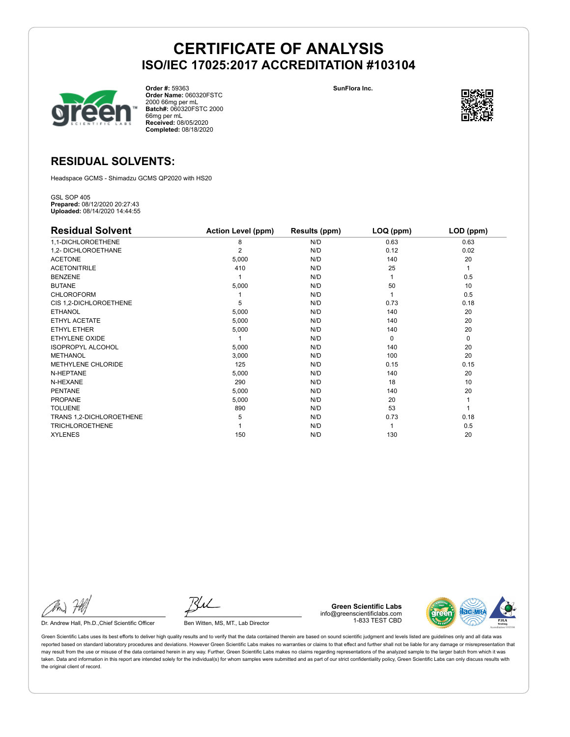



**Order #:** 59363 **Order Name:** 060320FSTC 2000 66mg per mL **Batch#:** 060320FSTC 2000 66mg per mL **Received:** 08/05/2020 **Completed:** 08/18/2020



### **RESIDUAL SOLVENTS:**

Headspace GCMS - Shimadzu GCMS QP2020 with HS20

GSL SOP 405 **Prepared:** 08/12/2020 20:27:43 **Uploaded:** 08/14/2020 14:44:55

| <b>Residual Solvent</b>  | <b>Action Level (ppm)</b> | <b>Results (ppm)</b> | LOQ (ppm) | LOD (ppm)   |
|--------------------------|---------------------------|----------------------|-----------|-------------|
| 1,1-DICHLOROETHENE       | 8                         | N/D                  | 0.63      | 0.63        |
| 1,2- DICHLOROETHANE      | $\overline{2}$            | N/D                  | 0.12      | 0.02        |
| <b>ACETONE</b>           | 5,000                     | N/D                  | 140       | 20          |
| <b>ACETONITRILE</b>      | 410                       | N/D                  | 25        | 1           |
| <b>BENZENE</b>           |                           | N/D                  |           | 0.5         |
| <b>BUTANE</b>            | 5,000                     | N/D                  | 50        | 10          |
| <b>CHLOROFORM</b>        |                           | N/D                  |           | 0.5         |
| CIS 1,2-DICHLOROETHENE   | 5                         | N/D                  | 0.73      | 0.18        |
| <b>ETHANOL</b>           | 5,000                     | N/D                  | 140       | 20          |
| ETHYL ACETATE            | 5,000                     | N/D                  | 140       | 20          |
| ETHYL ETHER              | 5,000                     | N/D                  | 140       | 20          |
| ETHYLENE OXIDE           |                           | N/D                  | $\Omega$  | $\mathbf 0$ |
| <b>ISOPROPYL ALCOHOL</b> | 5,000                     | N/D                  | 140       | 20          |
| <b>METHANOL</b>          | 3,000                     | N/D                  | 100       | 20          |
| METHYLENE CHLORIDE       | 125                       | N/D                  | 0.15      | 0.15        |
| N-HEPTANE                | 5,000                     | N/D                  | 140       | 20          |
| N-HEXANE                 | 290                       | N/D                  | 18        | 10          |
| <b>PENTANE</b>           | 5,000                     | N/D                  | 140       | 20          |
| <b>PROPANE</b>           | 5,000                     | N/D                  | 20        |             |
| <b>TOLUENE</b>           | 890                       | N/D                  | 53        |             |
| TRANS 1,2-DICHLOROETHENE | 5                         | N/D                  | 0.73      | 0.18        |
| <b>TRICHLOROETHENE</b>   |                           | N/D                  |           | 0.5         |
| <b>XYLENES</b>           | 150                       | N/D                  | 130       | 20          |

Dr. Andrew Hall, Ph.D., Chief Scientific Officer Ben Witten, MS, MT., Lab Director

**Green Scientific Labs** info@greenscientificlabs.com 1-833 TEST CBD

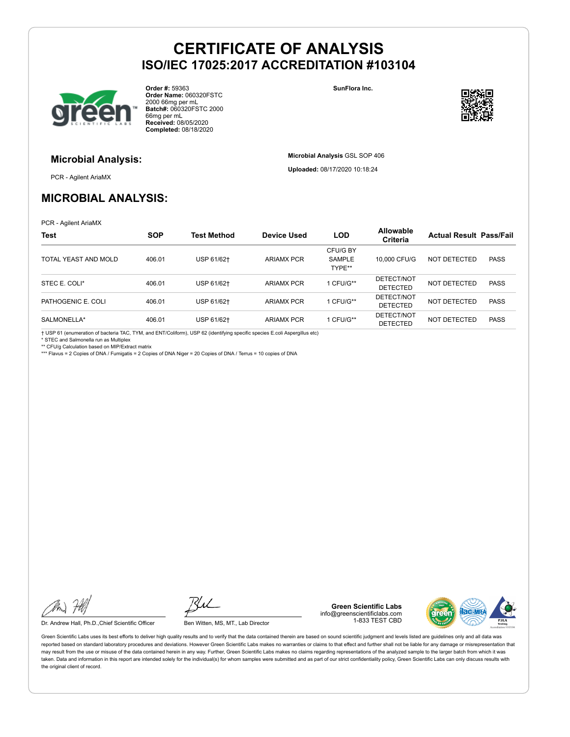

**Order #:** 59363 **Order Name:** 060320FSTC 2000 66mg per mL **Batch#:** 060320FSTC 2000 66mg per mL **Received:** 08/05/2020 **Completed:** 08/18/2020

**SunFlora Inc.**

**Microbial Analysis** GSL SOP 406 **Uploaded:** 08/17/2020 10:18:24



### **Microbial Analysis:**

PCR - Agilent AriaMX

## **MICROBIAL ANALYSIS:**

PCR - Agilent AriaMX

| <b>Test</b>          | <b>SOP</b> | <b>Test Method</b> | Device Used       | <b>LOD</b>                          | <b>Allowable</b><br>Criteria  | <b>Actual Result Pass/Fail</b> |             |
|----------------------|------------|--------------------|-------------------|-------------------------------------|-------------------------------|--------------------------------|-------------|
| TOTAL YEAST AND MOLD | 406.01     | USP 61/62+         | <b>ARIAMX PCR</b> | CFU/G BY<br><b>SAMPLE</b><br>TYPE** | 10,000 CFU/G                  | NOT DETECTED                   | <b>PASS</b> |
| STEC E. COLI*        | 406.01     | USP 61/62+         | <b>ARIAMX PCR</b> | 1 CFU/G**                           | DETECT/NOT<br><b>DETECTED</b> | NOT DETECTED                   | <b>PASS</b> |
| PATHOGENIC E. COLI   | 406.01     | USP 61/62+         | <b>ARIAMX PCR</b> | 1 CFU/G**                           | DETECT/NOT<br><b>DETECTED</b> | NOT DETECTED                   | <b>PASS</b> |
| SALMONELLA*          | 406.01     | USP 61/62+         | <b>ARIAMX PCR</b> | 1 CFU/G**                           | DETECT/NOT<br><b>DETECTED</b> | NOT DETECTED                   | <b>PASS</b> |

† USP 61 (enumeration of bacteria TAC, TYM, and ENT/Coliform), USP 62 (identifying specific species E.coli Aspergillus etc)

\* STEC and Salmonella run as Multiplex

\*\* CFU/g Calculation based on MIP/Extract matrix

\*\*\* Flavus = 2 Copies of DNA / Fumigatis = 2 Copies of DNA Niger = 20 Copies of DNA / Terrus = 10 copies of DNA

Dr. Andrew Hall, Ph.D., Chief Scientific Officer Ben Witten, MS, MT., Lab Director

**Green Scientific Labs** info@greenscientificlabs.com 1-833 TEST CBD